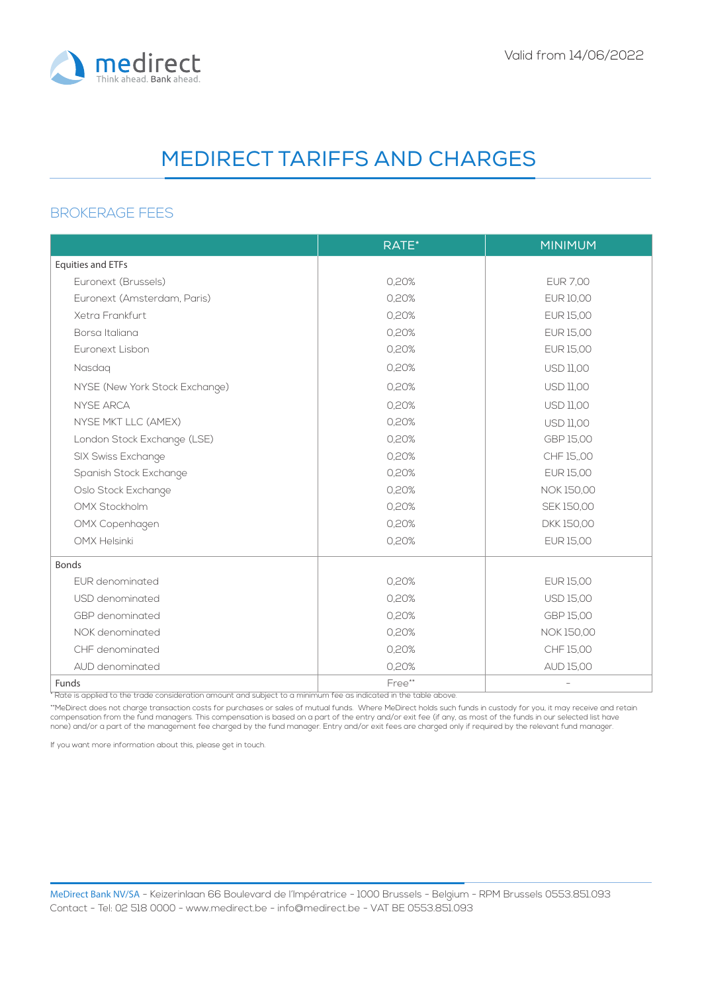

### BROKERAGE FEES

|                                | RATE*  | <b>MINIMUM</b>    |
|--------------------------------|--------|-------------------|
| <b>Equities and ETFs</b>       |        |                   |
| Euronext (Brussels)            | 0,20%  | <b>EUR 7,00</b>   |
| Euronext (Amsterdam, Paris)    | 0,20%  | EUR 10,00         |
| Xetra Frankfurt                | 0,20%  | EUR 15,00         |
| Borsa Italiana                 | 0,20%  | EUR 15,00         |
| Euronext Lisbon                | 0,20%  | EUR 15,00         |
| Nasdaq                         | 0,20%  | <b>USD 11,00</b>  |
| NYSE (New York Stock Exchange) | 0,20%  | <b>USD 11,00</b>  |
| <b>NYSE ARCA</b>               | 0,20%  | <b>USD 11,00</b>  |
| NYSE MKT LLC (AMEX)            | 0,20%  | <b>USD 11,00</b>  |
| London Stock Exchange (LSE)    | 0,20%  | GBP 15,00         |
| SIX Swiss Exchange             | 0,20%  | CHF 15,00         |
| Spanish Stock Exchange         | 0,20%  | EUR 15,00         |
| Oslo Stock Exchange            | 0,20%  | NOK 150,00        |
| <b>OMX Stockholm</b>           | 0,20%  | SEK 150,00        |
| OMX Copenhagen                 | 0,20%  | DKK 150,00        |
| <b>OMX Helsinki</b>            | 0,20%  | EUR 15,00         |
| <b>Bonds</b>                   |        |                   |
| EUR denominated                | 0,20%  | <b>EUR 15,00</b>  |
| USD denominated                | 0,20%  | <b>USD 15,00</b>  |
| GBP denominated                | 0,20%  | GBP 15,00         |
| NOK denominated                | 0,20%  | <b>NOK 150,00</b> |
| CHF denominated                | 0,20%  | CHF 15,00         |
| AUD denominated                | 0,20%  | <b>AUD 15,00</b>  |
| Funds                          | Free** |                   |

t

If you want more information about this, please get in touch.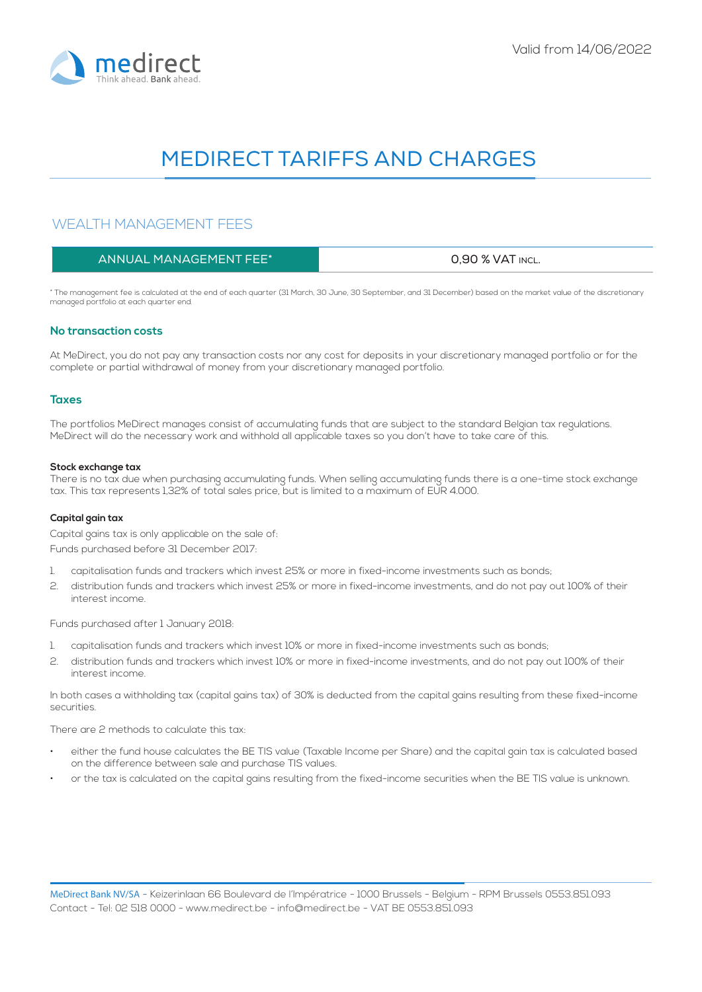

## WEALTH MANAGEMENT FEES

| ANNUAL MANAGEMENT FEE* | 0.90 % VAT INCL. |
|------------------------|------------------|
|------------------------|------------------|

\* The management fee is calculated at the end of each quarter (31 March, 30 June, 30 September, and 31 December) based on the market value of the discretionary managed portfolio at each quarter end.

#### **No transaction costs**

At MeDirect, you do not pay any transaction costs nor any cost for deposits in your discretionary managed portfolio or for the complete or partial withdrawal of money from your discretionary managed portfolio.

#### **Taxes**

The portfolios MeDirect manages consist of accumulating funds that are subject to the standard Belgian tax regulations. MeDirect will do the necessary work and withhold all applicable taxes so you don't have to take care of this.

#### **Stock exchange tax**

There is no tax due when purchasing accumulating funds. When selling accumulating funds there is a one-time stock exchange tax. This tax represents 1,32% of total sales price, but is limited to a maximum of EUR 4.000.

#### **Capital gain tax**

Capital gains tax is only applicable on the sale of: Funds purchased before 31 December 2017:

- 1. capitalisation funds and trackers which invest 25% or more in fixed-income investments such as bonds;
- 2. distribution funds and trackers which invest 25% or more in fixed-income investments, and do not pay out 100% of their interest income.

Funds purchased after 1 January 2018:

- 1. capitalisation funds and trackers which invest 10% or more in fixed-income investments such as bonds;
- 2. distribution funds and trackers which invest 10% or more in fixed-income investments, and do not pay out 100% of their interest income.

In both cases a withholding tax (capital gains tax) of 30% is deducted from the capital gains resulting from these fixed-income securities.

There are 2 methods to calculate this tax:

- either the fund house calculates the BE TIS value (Taxable Income per Share) and the capital gain tax is calculated based on the difference between sale and purchase TIS values.
- or the tax is calculated on the capital gains resulting from the fixed-income securities when the BE TIS value is unknown.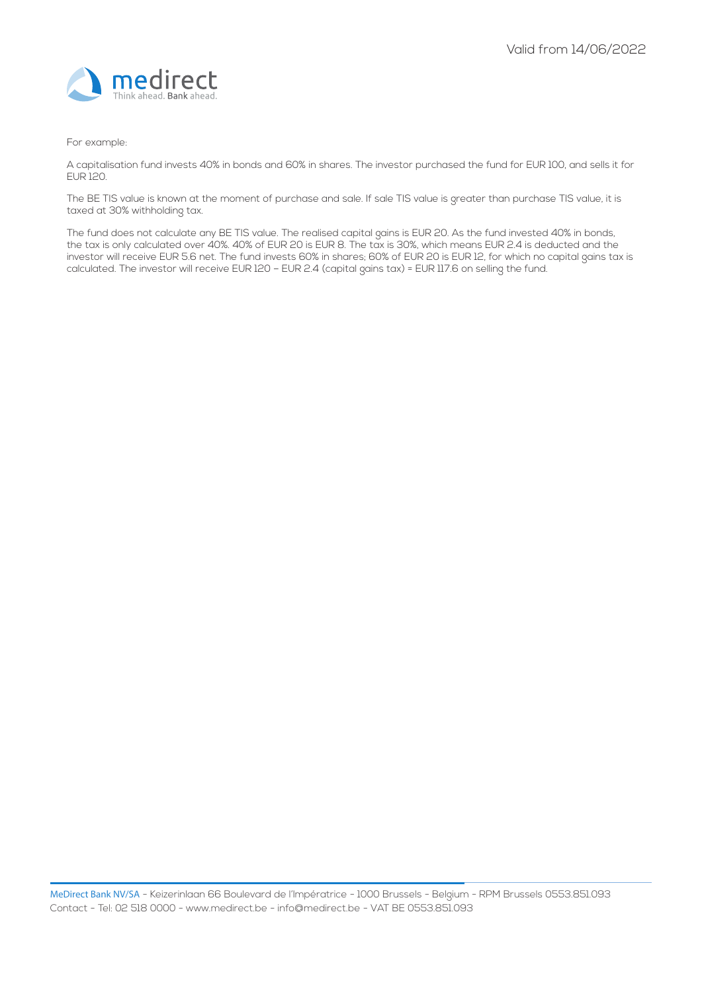

#### For example:

A capitalisation fund invests 40% in bonds and 60% in shares. The investor purchased the fund for EUR 100, and sells it for EUR 120.

The BE TIS value is known at the moment of purchase and sale. If sale TIS value is greater than purchase TIS value, it is taxed at 30% withholding tax.

The fund does not calculate any BE TIS value. The realised capital gains is EUR 20. As the fund invested 40% in bonds, the tax is only calculated over 40%. 40% of EUR 20 is EUR 8. The tax is 30%, which means EUR 2.4 is deducted and the investor will receive EUR 5.6 net. The fund invests 60% in shares; 60% of EUR 20 is EUR 12, for which no capital gains tax is calculated. The investor will receive EUR 120 – EUR 2.4 (capital gains tax) = EUR 117.6 on selling the fund.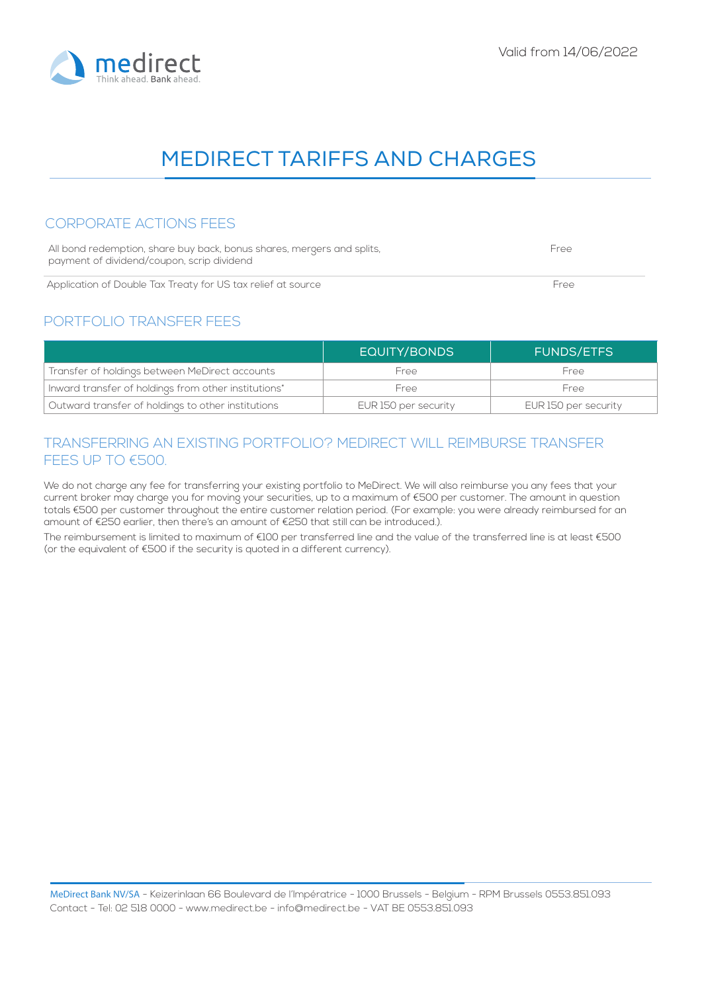### CORPORATE ACTIONS FEES

| All bond redemption, share buy back, bonus shares, mergers and splits, | Free |
|------------------------------------------------------------------------|------|
| payment of dividend/coupon, scrip dividend                             |      |
| Application of Double Tax Treaty for US tax relief at source           | Free |

### PORTFOLIO TRANSFER FEES

|                                                      | <b>EQUITY/BONDS</b>  | <b>FUNDS/ETFS</b>    |
|------------------------------------------------------|----------------------|----------------------|
| Transfer of holdings between MeDirect accounts       | Free                 | Free                 |
| Inward transfer of holdings from other institutions* | Free                 | Free                 |
| Outward transfer of holdings to other institutions   | EUR 150 per security | EUR 150 per security |

## TRANSFERRING AN EXISTING PORTFOLIO? MEDIRECT WILL REIMBURSE TRANSFER FEES UP TO €500.

We do not charge any fee for transferring your existing portfolio to MeDirect. We will also reimburse you any fees that your current broker may charge you for moving your securities, up to a maximum of €500 per customer. The amount in question totals €500 per customer throughout the entire customer relation period. (For example: you were already reimbursed for an amount of €250 earlier, then there's an amount of €250 that still can be introduced.).

The reimbursement is limited to maximum of €100 per transferred line and the value of the transferred line is at least €500 (or the equivalent of €500 if the security is quoted in a different currency).